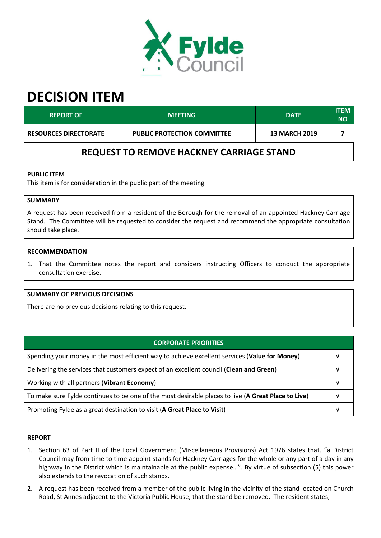

# **DECISION ITEM**

| <b>REPORT OF</b>                                | <b>MEETING</b>                     | <b>DATE</b> | <b>ITEM</b><br><b>NO</b> |  |  |  |
|-------------------------------------------------|------------------------------------|-------------|--------------------------|--|--|--|
| <b>RESOURCES DIRECTORATE</b>                    | <b>PUBLIC PROTECTION COMMITTEE</b> |             |                          |  |  |  |
| <b>REQUEST TO REMOVE HACKNEY CARRIAGE STAND</b> |                                    |             |                          |  |  |  |

## **PUBLIC ITEM**

This item is for consideration in the public part of the meeting.

# **SUMMARY**

A request has been received from a resident of the Borough for the removal of an appointed Hackney Carriage Stand. The Committee will be requested to consider the request and recommend the appropriate consultation should take place.

### **RECOMMENDATION**

1. That the Committee notes the report and considers instructing Officers to conduct the appropriate consultation exercise.

#### **SUMMARY OF PREVIOUS DECISIONS**

There are no previous decisions relating to this request.

| <b>CORPORATE PRIORITIES</b>                                                                         |  |  |
|-----------------------------------------------------------------------------------------------------|--|--|
| Spending your money in the most efficient way to achieve excellent services (Value for Money)       |  |  |
| Delivering the services that customers expect of an excellent council (Clean and Green)             |  |  |
| Working with all partners (Vibrant Economy)                                                         |  |  |
| To make sure Fylde continues to be one of the most desirable places to live (A Great Place to Live) |  |  |
| Promoting Fylde as a great destination to visit (A Great Place to Visit)                            |  |  |

#### **REPORT**

- 1. Section 63 of Part II of the Local Government (Miscellaneous Provisions) Act 1976 states that. "a District Council may from time to time appoint stands for Hackney Carriages for the whole or any part of a day in any highway in the District which is maintainable at the public expense…". By virtue of subsection (5) this power also extends to the revocation of such stands.
- 2. A request has been received from a member of the public living in the vicinity of the stand located on Church Road, St Annes adjacent to the Victoria Public House, that the stand be removed. The resident states,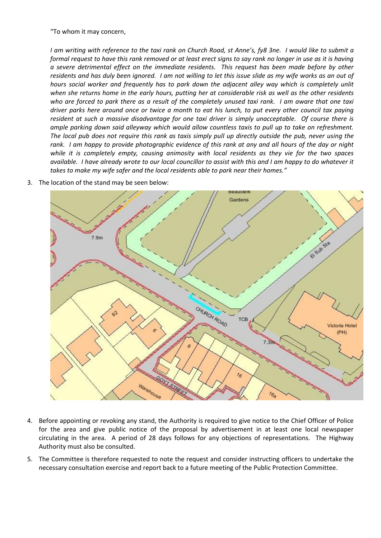"To whom it may concern,

*I am writing with reference to the taxi rank on Church Road, st Anne's, fy8 3ne. I would like to submit a formal request to have this rank removed or at least erect signs to say rank no longer in use as it is having a severe detrimental effect on the immediate residents. This request has been made before by other residents and has duly been ignored. I am not willing to let this issue slide as my wife works as an out of hours social worker and frequently has to park down the adjacent alley way which is completely unlit when she returns home in the early hours, putting her at considerable risk as well as the other residents who are forced to park there as a result of the completely unused taxi rank. I am aware that one taxi driver parks here around once or twice a month to eat his lunch, to put every other council tax paying resident at such a massive disadvantage for one taxi driver is simply unacceptable. Of course there is ample parking down said alleyway which would allow countless taxis to pull up to take on refreshment. The local pub does not require this rank as taxis simply pull up directly outside the pub, never using the rank. I am happy to provide photographic evidence of this rank at any and all hours of the day or night while it is completely empty, causing animosity with local residents as they vie for the two spaces available. I have already wrote to our local councillor to assist with this and I am happy to do whatever it takes to make my wife safer and the local residents able to park near their homes."*



3. The location of the stand may be seen below:

- 4. Before appointing or revoking any stand, the Authority is required to give notice to the Chief Officer of Police for the area and give public notice of the proposal by advertisement in at least one local newspaper circulating in the area. A period of 28 days follows for any objections of representations. The Highway Authority must also be consulted.
- 5. The Committee is therefore requested to note the request and consider instructing officers to undertake the necessary consultation exercise and report back to a future meeting of the Public Protection Committee.